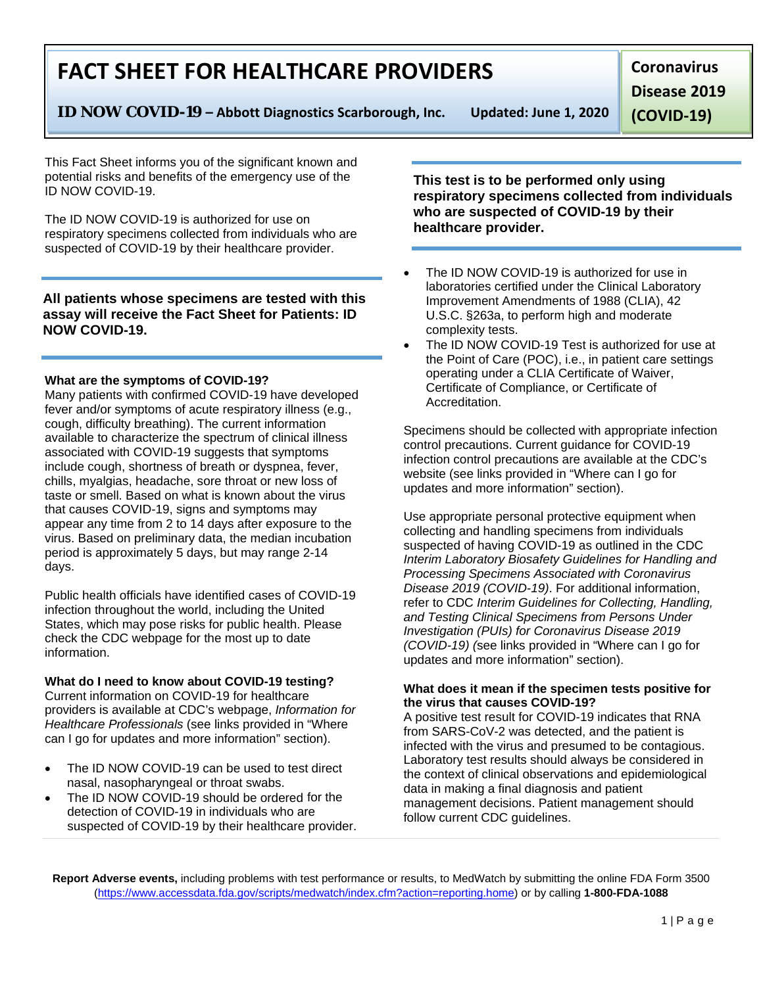1 | Page

# **FACT SHEET FOR HEALTHCARE PROVIDERS**

**ID NOW COVID-19 – Abbott Diagnostics Scarborough, Inc. Updated: June 1, 2020**

**Coronavirus** 

**Disease 2019** 

**(COVID-19)**

This Fact Sheet informs you of the significant known and potential risks and benefits of the emergency use of the ID NOW COVID-19.

The ID NOW COVID-19 is authorized for use on respiratory specimens collected from individuals who are suspected of COVID-19 by their healthcare provider.

## **All patients whose specimens are tested with this assay will receive the Fact Sheet for Patients: ID NOW COVID-19.**

### **What are the symptoms of COVID-19?**

Many patients with confirmed COVID-19 have developed fever and/or symptoms of acute respiratory illness (e.g., cough, difficulty breathing). The current information available to characterize the spectrum of clinical illness associated with COVID-19 suggests that symptoms include cough, shortness of breath or dyspnea, fever, chills, myalgias, headache, sore throat or new loss of taste or smell. Based on what is known about the virus that causes COVID-19, signs and symptoms may appear any time from 2 to 14 days after exposure to the virus. Based on preliminary data, the median incubation period is approximately 5 days, but may range 2-14 days.

Public health officials have identified cases of COVID-19 infection throughout the world, including the United States, which may pose risks for public health. Please check the CDC webpage for the most up to date information.

### **What do I need to know about COVID-19 testing?**

Current information on COVID-19 for healthcare providers is available at CDC's webpage, *Information for Healthcare Professionals* (see links provided in "Where can I go for updates and more information" section).

- The ID NOW COVID-19 can be used to test direct nasal, nasopharyngeal or throat swabs.
- The ID NOW COVID-19 should be ordered for the detection of COVID-19 in individuals who are suspected of COVID-19 by their healthcare provider.

**This test is to be performed only using respiratory specimens collected from individuals who are suspected of COVID-19 by their healthcare provider.**

- The ID NOW COVID-19 is authorized for use in laboratories certified under the Clinical Laboratory Improvement Amendments of 1988 (CLIA), 42 U.S.C. §263a, to perform high and moderate complexity tests.
- The ID NOW COVID-19 Test is authorized for use at the Point of Care (POC), i.e., in patient care settings operating under a CLIA Certificate of Waiver, Certificate of Compliance, or Certificate of Accreditation.

Specimens should be collected with appropriate infection control precautions. Current guidance for COVID-19 infection control precautions are available at the CDC's website (see links provided in "Where can I go for updates and more information" section).

Use appropriate personal protective equipment when collecting and handling specimens from individuals suspected of having COVID-19 as outlined in the CDC *Interim Laboratory Biosafety Guidelines for Handling and Processing Specimens Associated with Coronavirus Disease 2019 (COVID-19)*. For additional information, refer to CDC *Interim Guidelines for Collecting, Handling, and Testing Clinical Specimens from Persons Under Investigation (PUIs) for Coronavirus Disease 2019 (COVID-19) (*see links provided in "Where can I go for updates and more information" section).

#### **What does it mean if the specimen tests positive for the virus that causes COVID-19?**

A positive test result for COVID-19 indicates that RNA from SARS-CoV-2 was detected, and the patient is infected with the virus and presumed to be contagious. Laboratory test results should always be considered in the context of clinical observations and epidemiological data in making a final diagnosis and patient management decisions. Patient management should follow current CDC guidelines.

**Report Adverse events,** including problems with test performance or results, to MedWatch by submitting the online FDA Form 3500 [\(https://www.accessdata.fda.gov/scripts/medwatch/index.cfm?action=reporting.home\)](https://www.accessdata.fda.gov/scripts/medwatch/index.cfm?action=reporting.home) or by calling **1-800-FDA-1088**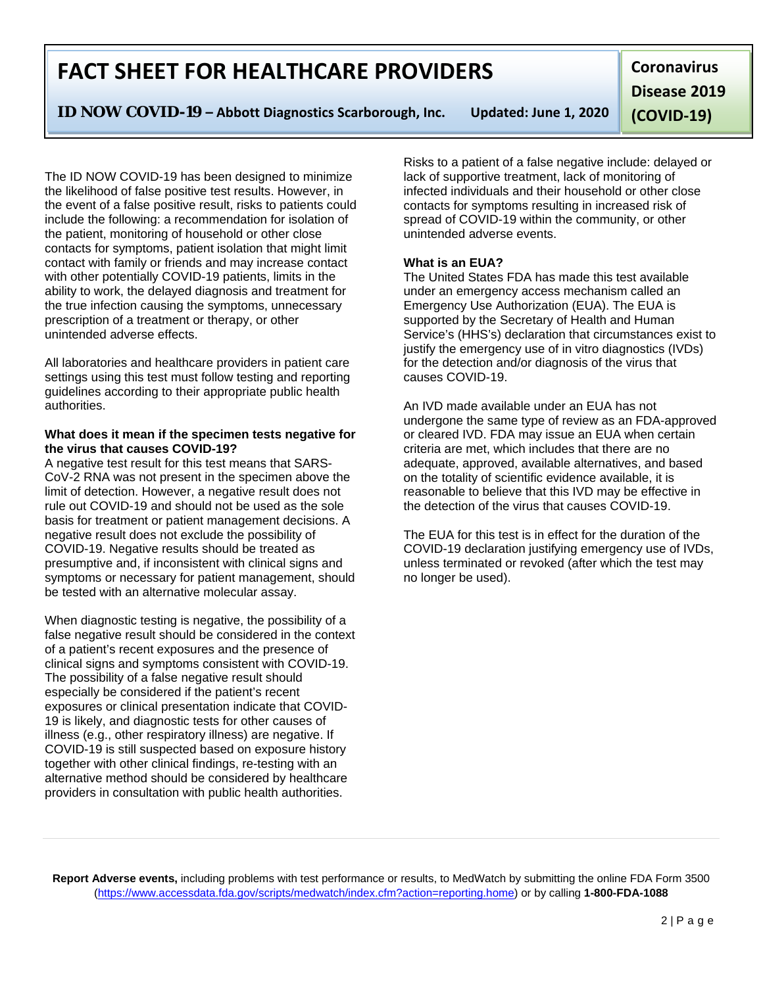**Report Adverse events,** including problems with test performance or results, to MedWatch by submitting the online FDA Form 3500 [\(https://www.accessdata.fda.gov/scripts/medwatch/index.cfm?action=reporting.home\)](https://www.accessdata.fda.gov/scripts/medwatch/index.cfm?action=reporting.home) or by calling **1-800-FDA-1088**

# **FACT SHEET FOR HEALTHCARE PROVIDERS**

**ID NOW COVID-19 – Abbott Diagnostics Scarborough, Inc. Updated: June 1, 2020**

**Coronavirus Disease 2019 (COVID-19)**

The ID NOW COVID-19 has been designed to minimize the likelihood of false positive test results. However, in the event of a false positive result, risks to patients could include the following: a recommendation for isolation of the patient, monitoring of household or other close contacts for symptoms, patient isolation that might limit contact with family or friends and may increase contact with other potentially COVID-19 patients, limits in the ability to work, the delayed diagnosis and treatment for the true infection causing the symptoms, unnecessary prescription of a treatment or therapy, or other unintended adverse effects.

All laboratories and healthcare providers in patient care settings using this test must follow testing and reporting guidelines according to their appropriate public health authorities.

### **What does it mean if the specimen tests negative for the virus that causes COVID-19?**

A negative test result for this test means that SARS-CoV-2 RNA was not present in the specimen above the limit of detection. However, a negative result does not rule out COVID-19 and should not be used as the sole basis for treatment or patient management decisions. A negative result does not exclude the possibility of COVID-19. Negative results should be treated as presumptive and, if inconsistent with clinical signs and symptoms or necessary for patient management, should be tested with an alternative molecular assay.

When diagnostic testing is negative, the possibility of a false negative result should be considered in the context of a patient's recent exposures and the presence of clinical signs and symptoms consistent with COVID-19. The possibility of a false negative result should especially be considered if the patient's recent exposures or clinical presentation indicate that COVID-19 is likely, and diagnostic tests for other causes of illness (e.g., other respiratory illness) are negative. If COVID-19 is still suspected based on exposure history together with other clinical findings, re-testing with an alternative method should be considered by healthcare providers in consultation with public health authorities.

Risks to a patient of a false negative include: delayed or lack of supportive treatment, lack of monitoring of infected individuals and their household or other close contacts for symptoms resulting in increased risk of spread of COVID-19 within the community, or other unintended adverse events.

## **What is an EUA?**

The United States FDA has made this test available under an emergency access mechanism called an Emergency Use Authorization (EUA). The EUA is supported by the Secretary of Health and Human Service's (HHS's) declaration that circumstances exist to justify the emergency use of in vitro diagnostics (IVDs) for the detection and/or diagnosis of the virus that causes COVID-19.

An IVD made available under an EUA has not undergone the same type of review as an FDA-approved or cleared IVD. FDA may issue an EUA when certain criteria are met, which includes that there are no adequate, approved, available alternatives, and based on the totality of scientific evidence available, it is reasonable to believe that this IVD may be effective in the detection of the virus that causes COVID-19.

The EUA for this test is in effect for the duration of the COVID-19 declaration justifying emergency use of IVDs, unless terminated or revoked (after which the test may no longer be used).